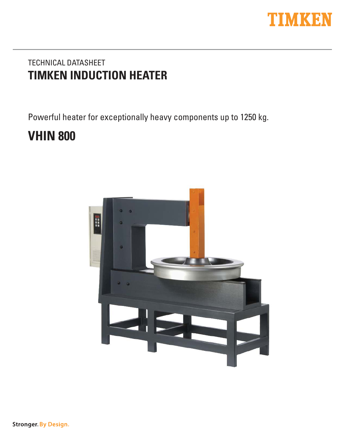

# TECHNICAL DATASHEET **TIMKEN INDUCTION HEATER**

Powerful heater for exceptionally heavy components up to 1250 kg.

# **VHIN 800**